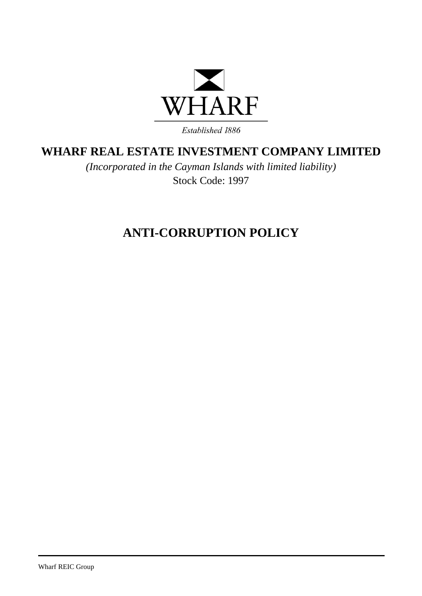

Established 1886

## **WHARF REAL ESTATE INVESTMENT COMPANY LIMITED**

*(Incorporated in the Cayman Islands with limited liability)* Stock Code: 1997

# **ANTI-CORRUPTION POLICY**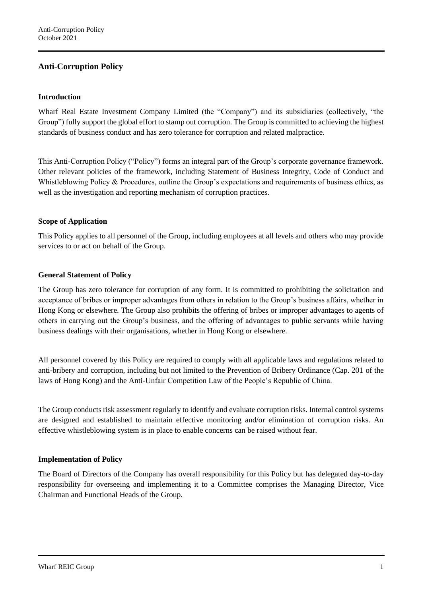## **Anti-Corruption Policy**

#### **Introduction**

Wharf Real Estate Investment Company Limited (the "Company") and its subsidiaries (collectively, "the Group") fully support the global effort to stamp out corruption. The Group is committed to achieving the highest standards of business conduct and has zero tolerance for corruption and related malpractice.

This Anti-Corruption Policy ("Policy") forms an integral part of the Group's corporate governance framework. Other relevant policies of the framework, including Statement of Business Integrity, Code of Conduct and Whistleblowing Policy & Procedures, outline the Group's expectations and requirements of business ethics, as well as the investigation and reporting mechanism of corruption practices.

#### **Scope of Application**

This Policy applies to all personnel of the Group, including employees at all levels and others who may provide services to or act on behalf of the Group.

#### **General Statement of Policy**

The Group has zero tolerance for corruption of any form. It is committed to prohibiting the solicitation and acceptance of bribes or improper advantages from others in relation to the Group's business affairs, whether in Hong Kong or elsewhere. The Group also prohibits the offering of bribes or improper advantages to agents of others in carrying out the Group's business, and the offering of advantages to public servants while having business dealings with their organisations, whether in Hong Kong or elsewhere.

All personnel covered by this Policy are required to comply with all applicable laws and regulations related to anti-bribery and corruption, including but not limited to the Prevention of Bribery Ordinance (Cap. 201 of the laws of Hong Kong) and the Anti-Unfair Competition Law of the People's Republic of China.

The Group conducts risk assessment regularly to identify and evaluate corruption risks. Internal control systems are designed and established to maintain effective monitoring and/or elimination of corruption risks. An effective whistleblowing system is in place to enable concerns can be raised without fear.

#### **Implementation of Policy**

The Board of Directors of the Company has overall responsibility for this Policy but has delegated day-to-day responsibility for overseeing and implementing it to a Committee comprises the Managing Director, Vice Chairman and Functional Heads of the Group.